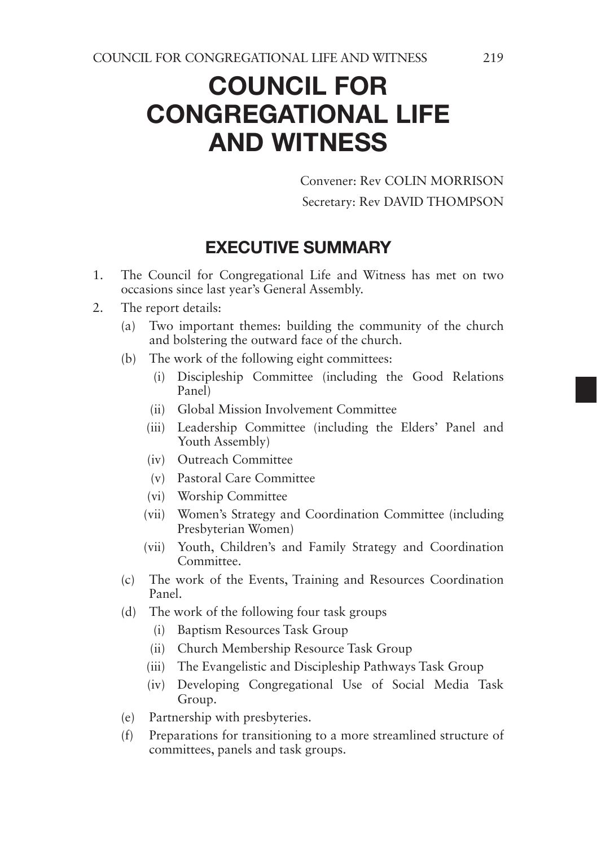# COUNCIL FOR CONGREGATIONAL LIFE AND WITNESS

Convener: Rev COLIN MORRISON Secretary: Rev DAVID THOMPSON

### EXECUTIVE SUMMARY

- 1. The Council for Congregational Life and Witness has met on two occasions since last year's General Assembly.
- 2. The report details:
	- (a) Two important themes: building the community of the church and bolstering the outward face of the church.
	- (b) The work of the following eight committees:
		- (i) Discipleship Committee (including the Good Relations Panel)
		- (ii) Global Mission Involvement Committee
		- (iii) Leadership Committee (including the Elders' Panel and Youth Assembly)
		- (iv) Outreach Committee
		- (v) Pastoral Care Committee
		- (vi) Worship Committee
		- (vii) Women's Strategy and Coordination Committee (including Presbyterian Women)
		- (vii) Youth, Children's and Family Strategy and Coordination Committee.
	- (c) The work of the Events, Training and Resources Coordination Panel.
	- (d) The work of the following four task groups
		- (i) Baptism Resources Task Group
		- (ii) Church Membership Resource Task Group
		- (iii) The Evangelistic and Discipleship Pathways Task Group
		- (iv) Developing Congregational Use of Social Media Task Group.
	- (e) Partnership with presbyteries.
	- (f) Preparations for transitioning to a more streamlined structure of committees, panels and task groups.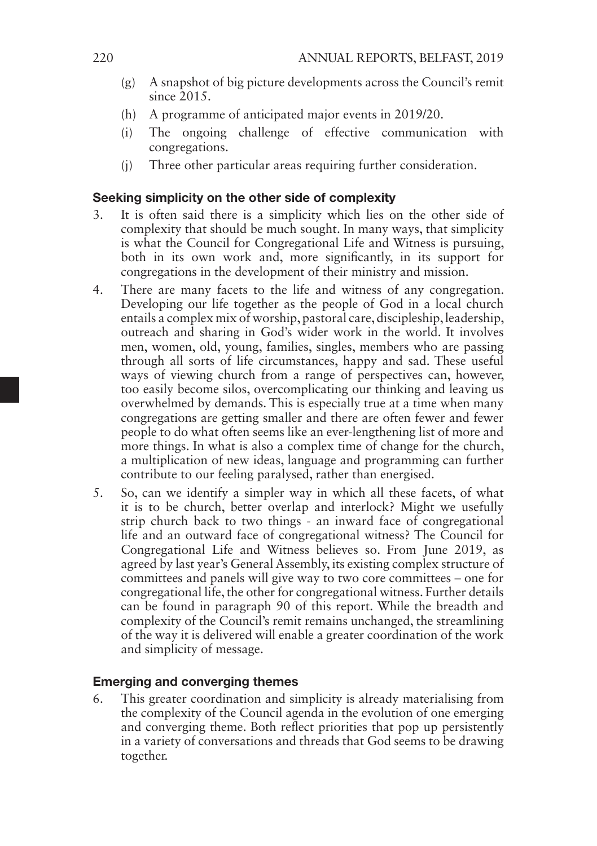- (g) A snapshot of big picture developments across the Council's remit  $since 2015$
- (h) A programme of anticipated major events in 2019/20.
- (i) The ongoing challenge of effective communication with congregations.
- (j) Three other particular areas requiring further consideration.

#### Seeking simplicity on the other side of complexity

- 3. It is often said there is a simplicity which lies on the other side of complexity that should be much sought. In many ways, that simplicity is what the Council for Congregational Life and Witness is pursuing, both in its own work and, more significantly, in its support for congregations in the development of their ministry and mission.
- 4. There are many facets to the life and witness of any congregation. Developing our life together as the people of God in a local church entails a complex mix of worship, pastoral care, discipleship, leadership, outreach and sharing in God's wider work in the world. It involves men, women, old, young, families, singles, members who are passing through all sorts of life circumstances, happy and sad. These useful ways of viewing church from a range of perspectives can, however, too easily become silos, overcomplicating our thinking and leaving us overwhelmed by demands. This is especially true at a time when many congregations are getting smaller and there are often fewer and fewer people to do what often seems like an ever-lengthening list of more and more things. In what is also a complex time of change for the church, a multiplication of new ideas, language and programming can further contribute to our feeling paralysed, rather than energised.
- 5. So, can we identify a simpler way in which all these facets, of what it is to be church, better overlap and interlock? Might we usefully strip church back to two things - an inward face of congregational life and an outward face of congregational witness? The Council for Congregational Life and Witness believes so. From June 2019, as agreed by last year's General Assembly, its existing complex structure of committees and panels will give way to two core committees – one for congregational life, the other for congregational witness. Further details can be found in paragraph 90 of this report. While the breadth and complexity of the Council's remit remains unchanged, the streamlining of the way it is delivered will enable a greater coordination of the work and simplicity of message.

#### Emerging and converging themes

6. This greater coordination and simplicity is already materialising from the complexity of the Council agenda in the evolution of one emerging and converging theme. Both reflect priorities that pop up persistently in a variety of conversations and threads that God seems to be drawing together.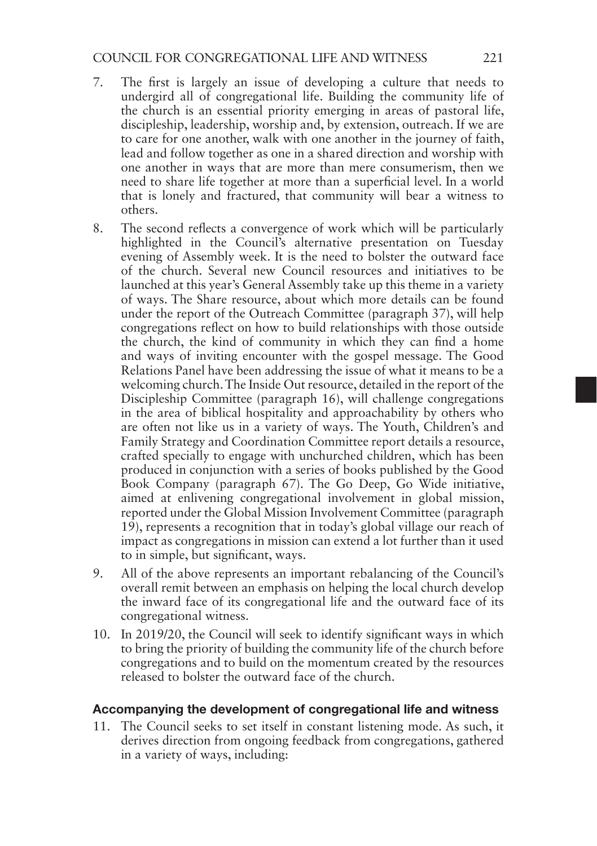- 7. The first is largely an issue of developing a culture that needs to undergird all of congregational life. Building the community life of the church is an essential priority emerging in areas of pastoral life, discipleship, leadership, worship and, by extension, outreach. If we are to care for one another, walk with one another in the journey of faith, lead and follow together as one in a shared direction and worship with one another in ways that are more than mere consumerism, then we need to share life together at more than a superficial level. In a world that is lonely and fractured, that community will bear a witness to others.
- 8. The second reflects a convergence of work which will be particularly highlighted in the Council's alternative presentation on Tuesday evening of Assembly week. It is the need to bolster the outward face of the church. Several new Council resources and initiatives to be launched at this year's General Assembly take up this theme in a variety of ways. The Share resource, about which more details can be found under the report of the Outreach Committee (paragraph 37), will help congregations reflect on how to build relationships with those outside the church, the kind of community in which they can find a home and ways of inviting encounter with the gospel message. The Good Relations Panel have been addressing the issue of what it means to be a welcoming church. The Inside Out resource, detailed in the report of the Discipleship Committee (paragraph 16), will challenge congregations in the area of biblical hospitality and approachability by others who are often not like us in a variety of ways. The Youth, Children's and Family Strategy and Coordination Committee report details a resource, crafted specially to engage with unchurched children, which has been produced in conjunction with a series of books published by the Good Book Company (paragraph 67). The Go Deep, Go Wide initiative, aimed at enlivening congregational involvement in global mission, reported under the Global Mission Involvement Committee (paragraph 19), represents a recognition that in today's global village our reach of impact as congregations in mission can extend a lot further than it used to in simple, but significant, ways.
- 9. All of the above represents an important rebalancing of the Council's overall remit between an emphasis on helping the local church develop the inward face of its congregational life and the outward face of its congregational witness.
- 10. In 2019/20, the Council will seek to identify significant ways in which to bring the priority of building the community life of the church before congregations and to build on the momentum created by the resources released to bolster the outward face of the church.

#### Accompanying the development of congregational life and witness

11. The Council seeks to set itself in constant listening mode. As such, it derives direction from ongoing feedback from congregations, gathered in a variety of ways, including: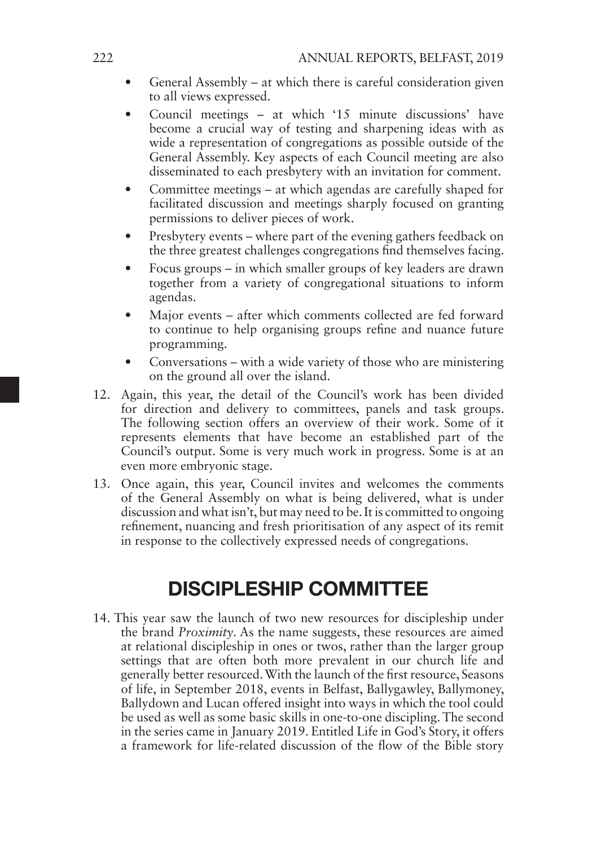- General Assembly at which there is careful consideration given to all views expressed.
- Council meetings at which '15 minute discussions' have become a crucial way of testing and sharpening ideas with as wide a representation of congregations as possible outside of the General Assembly. Key aspects of each Council meeting are also disseminated to each presbytery with an invitation for comment.
- Committee meetings at which agendas are carefully shaped for facilitated discussion and meetings sharply focused on granting permissions to deliver pieces of work.
- Presbytery events where part of the evening gathers feedback on the three greatest challenges congregations find themselves facing.
- Focus groups in which smaller groups of key leaders are drawn together from a variety of congregational situations to inform agendas.
- Major events after which comments collected are fed forward to continue to help organising groups refine and nuance future programming.
- Conversations with a wide variety of those who are ministering on the ground all over the island.
- 12. Again, this year, the detail of the Council's work has been divided for direction and delivery to committees, panels and task groups. The following section offers an overview of their work. Some of it represents elements that have become an established part of the Council's output. Some is very much work in progress. Some is at an even more embryonic stage.
- 13. Once again, this year, Council invites and welcomes the comments of the General Assembly on what is being delivered, what is under discussion and what isn't, but may need to be. It is committed to ongoing refinement, nuancing and fresh prioritisation of any aspect of its remit in response to the collectively expressed needs of congregations.

## DISCIPLESHIP COMMITTEE

14. This year saw the launch of two new resources for discipleship under the brand *Proximity*. As the name suggests, these resources are aimed at relational discipleship in ones or twos, rather than the larger group settings that are often both more prevalent in our church life and generally better resourced. With the launch of the first resource, Seasons of life, in September 2018, events in Belfast, Ballygawley, Ballymoney, Ballydown and Lucan offered insight into ways in which the tool could be used as well as some basic skills in one-to-one discipling. The second in the series came in January 2019. Entitled Life in God's Story, it offers a framework for life-related discussion of the flow of the Bible story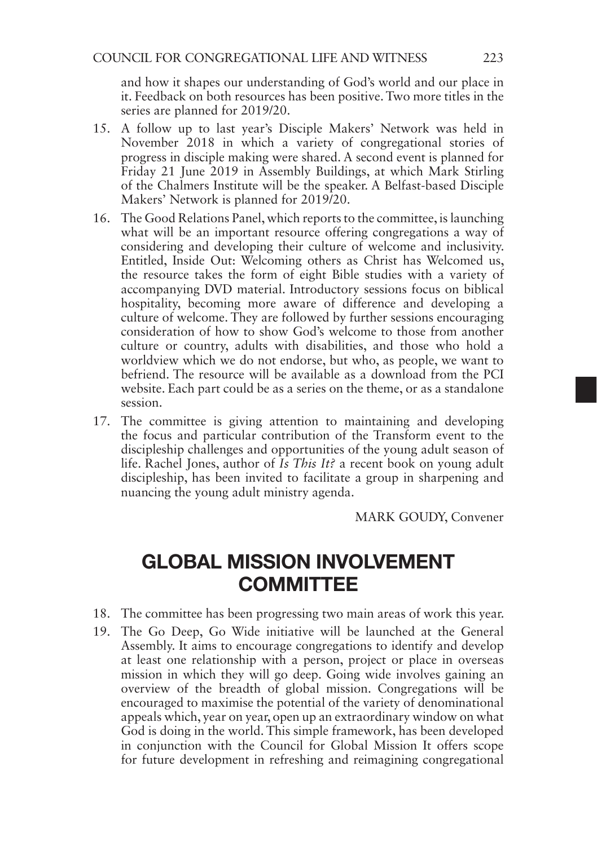and how it shapes our understanding of God's world and our place in it. Feedback on both resources has been positive. Two more titles in the series are planned for 2019/20.

- 15. A follow up to last year's Disciple Makers' Network was held in November 2018 in which a variety of congregational stories of progress in disciple making were shared. A second event is planned for Friday 21 June 2019 in Assembly Buildings, at which Mark Stirling of the Chalmers Institute will be the speaker. A Belfast-based Disciple Makers' Network is planned for 2019/20.
- 16. The Good Relations Panel, which reports to the committee, is launching what will be an important resource offering congregations a way of considering and developing their culture of welcome and inclusivity. Entitled, Inside Out: Welcoming others as Christ has Welcomed us, the resource takes the form of eight Bible studies with a variety of accompanying DVD material. Introductory sessions focus on biblical hospitality, becoming more aware of difference and developing a culture of welcome. They are followed by further sessions encouraging consideration of how to show God's welcome to those from another culture or country, adults with disabilities, and those who hold a worldview which we do not endorse, but who, as people, we want to befriend. The resource will be available as a download from the PCI website. Each part could be as a series on the theme, or as a standalone session.
- 17. The committee is giving attention to maintaining and developing the focus and particular contribution of the Transform event to the discipleship challenges and opportunities of the young adult season of life. Rachel Jones, author of *Is This It?* a recent book on young adult discipleship, has been invited to facilitate a group in sharpening and nuancing the young adult ministry agenda.

MARK GOUDY, Convener

## GLOBAL MISSION INVOLVEMENT **COMMITTEE**

- 18. The committee has been progressing two main areas of work this year.
- 19. The Go Deep, Go Wide initiative will be launched at the General Assembly. It aims to encourage congregations to identify and develop at least one relationship with a person, project or place in overseas mission in which they will go deep. Going wide involves gaining an overview of the breadth of global mission. Congregations will be encouraged to maximise the potential of the variety of denominational appeals which, year on year, open up an extraordinary window on what God is doing in the world. This simple framework, has been developed in conjunction with the Council for Global Mission It offers scope for future development in refreshing and reimagining congregational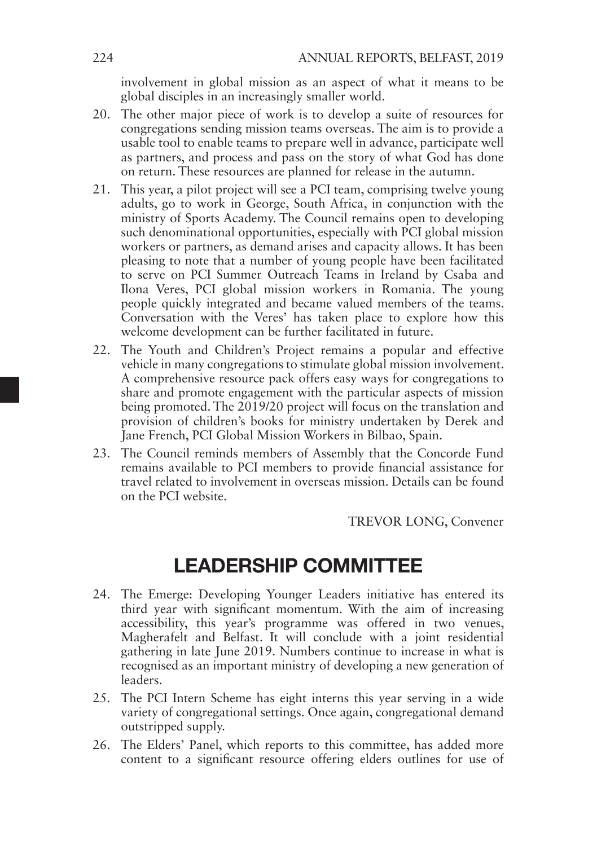involvement in global mission as an aspect of what it means to be global disciples in an increasingly smaller world.

- 20. The other major piece of work is to develop a suite of resources for congregations sending mission teams overseas. The aim is to provide a usable tool to enable teams to prepare well in advance, participate well as partners, and process and pass on the story of what God has done on return. These resources are planned for release in the autumn.
- 21. This year, a pilot project will see a PCI team, comprising twelve young adults, go to work in George, South Africa, in conjunction with the ministry of Sports Academy. The Council remains open to developing such denominational opportunities, especially with PCI global mission workers or partners, as demand arises and capacity allows. It has been pleasing to note that a number of young people have been facilitated to serve on PCI Summer Outreach Teams in Ireland by Csaba and Ilona Veres, PCI global mission workers in Romania. The young people quickly integrated and became valued members of the teams. Conversation with the Veres' has taken place to explore how this welcome development can be further facilitated in future.
- 22. The Youth and Children's Project remains a popular and effective vehicle in many congregations to stimulate global mission involvement. A comprehensive resource pack offers easy ways for congregations to share and promote engagement with the particular aspects of mission being promoted. The 2019/20 project will focus on the translation and provision of children's books for ministry undertaken by Derek and Jane French, PCI Global Mission Workers in Bilbao, Spain.
- 23. The Council reminds members of Assembly that the Concorde Fund remains available to PCI members to provide financial assistance for travel related to involvement in overseas mission. Details can be found on the PCI website.

TREVOR LONG, Convener

### LEADERSHIP COMMITTEE

- 24. The Emerge: Developing Younger Leaders initiative has entered its third year with significant momentum. With the aim of increasing accessibility, this year's programme was offered in two venues, Magherafelt and Belfast. It will conclude with a joint residential gathering in late June 2019. Numbers continue to increase in what is recognised as an important ministry of developing a new generation of leaders.
- 25. The PCI Intern Scheme has eight interns this year serving in a wide variety of congregational settings. Once again, congregational demand outstripped supply.
- 26. The Elders' Panel, which reports to this committee, has added more content to a significant resource offering elders outlines for use of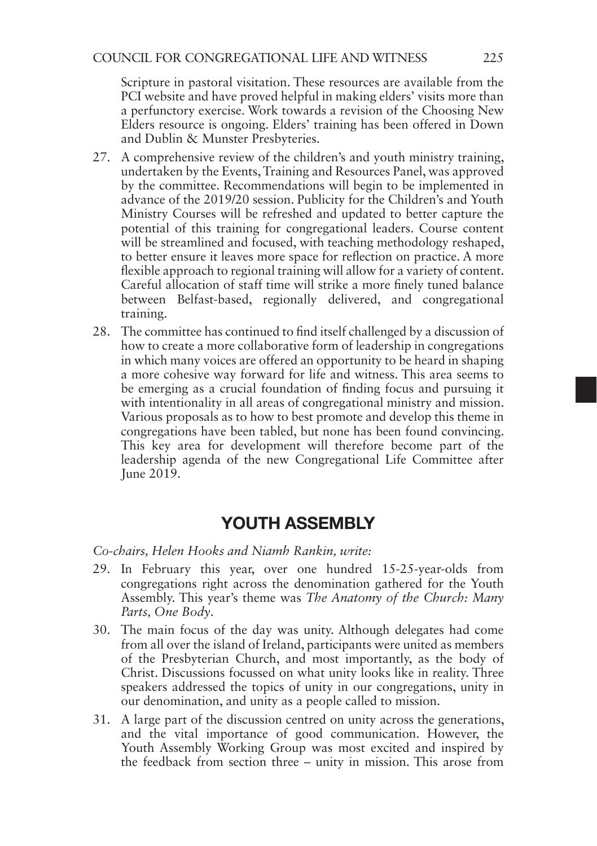Scripture in pastoral visitation. These resources are available from the PCI website and have proved helpful in making elders' visits more than a perfunctory exercise. Work towards a revision of the Choosing New Elders resource is ongoing. Elders' training has been offered in Down and Dublin & Munster Presbyteries.

- 27. A comprehensive review of the children's and youth ministry training, undertaken by the Events, Training and Resources Panel, was approved by the committee. Recommendations will begin to be implemented in advance of the 2019/20 session. Publicity for the Children's and Youth Ministry Courses will be refreshed and updated to better capture the potential of this training for congregational leaders. Course content will be streamlined and focused, with teaching methodology reshaped, to better ensure it leaves more space for reflection on practice. A more flexible approach to regional training will allow for a variety of content. Careful allocation of staff time will strike a more finely tuned balance between Belfast-based, regionally delivered, and congregational training.
- 28. The committee has continued to find itself challenged by a discussion of how to create a more collaborative form of leadership in congregations in which many voices are offered an opportunity to be heard in shaping a more cohesive way forward for life and witness. This area seems to be emerging as a crucial foundation of finding focus and pursuing it with intentionality in all areas of congregational ministry and mission. Various proposals as to how to best promote and develop this theme in congregations have been tabled, but none has been found convincing. This key area for development will therefore become part of the leadership agenda of the new Congregational Life Committee after June 2019.

### YOUTH ASSEMBLY

*Co-chairs, Helen Hooks and Niamh Rankin, write:*

- 29. In February this year, over one hundred 15-25-year-olds from congregations right across the denomination gathered for the Youth Assembly. This year's theme was *The Anatomy of the Church: Many Parts, One Body*.
- 30. The main focus of the day was unity. Although delegates had come from all over the island of Ireland, participants were united as members of the Presbyterian Church, and most importantly, as the body of Christ. Discussions focussed on what unity looks like in reality. Three speakers addressed the topics of unity in our congregations, unity in our denomination, and unity as a people called to mission.
- 31. A large part of the discussion centred on unity across the generations, and the vital importance of good communication. However, the Youth Assembly Working Group was most excited and inspired by the feedback from section three – unity in mission. This arose from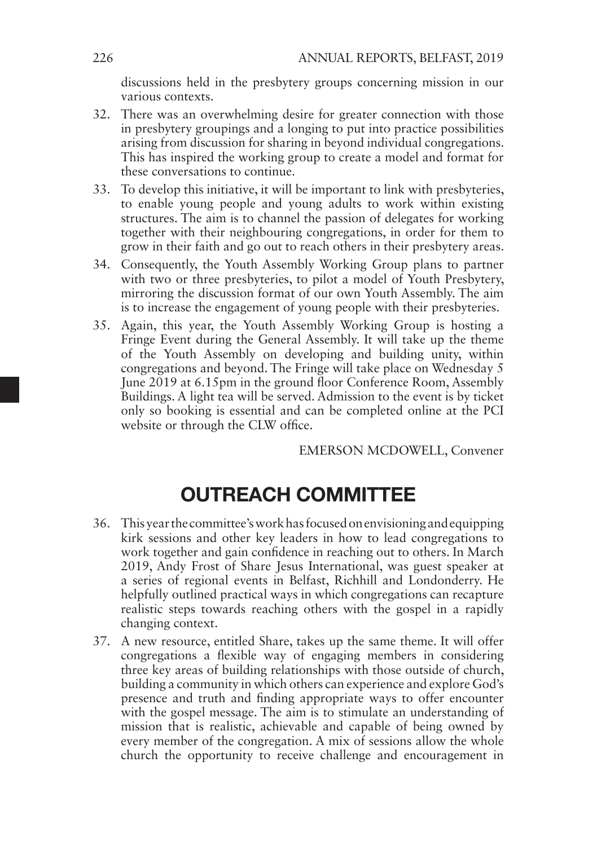discussions held in the presbytery groups concerning mission in our various contexts.

- 32. There was an overwhelming desire for greater connection with those in presbytery groupings and a longing to put into practice possibilities arising from discussion for sharing in beyond individual congregations. This has inspired the working group to create a model and format for these conversations to continue.
- 33. To develop this initiative, it will be important to link with presbyteries, to enable young people and young adults to work within existing structures. The aim is to channel the passion of delegates for working together with their neighbouring congregations, in order for them to grow in their faith and go out to reach others in their presbytery areas.
- 34. Consequently, the Youth Assembly Working Group plans to partner with two or three presbyteries, to pilot a model of Youth Presbytery, mirroring the discussion format of our own Youth Assembly. The aim is to increase the engagement of young people with their presbyteries.
- 35. Again, this year, the Youth Assembly Working Group is hosting a Fringe Event during the General Assembly. It will take up the theme of the Youth Assembly on developing and building unity, within congregations and beyond. The Fringe will take place on Wednesday 5 June 2019 at 6.15pm in the ground floor Conference Room, Assembly Buildings. A light tea will be served. Admission to the event is by ticket only so booking is essential and can be completed online at the PCI website or through the CLW office.

EMERSON MCDOWELL, Convener

## OUTREACH COMMITTEE

- 36. This year the committee's work has focused on envisioning and equipping kirk sessions and other key leaders in how to lead congregations to work together and gain confidence in reaching out to others. In March 2019, Andy Frost of Share Jesus International, was guest speaker at a series of regional events in Belfast, Richhill and Londonderry. He helpfully outlined practical ways in which congregations can recapture realistic steps towards reaching others with the gospel in a rapidly changing context.
- 37. A new resource, entitled Share, takes up the same theme. It will offer congregations a flexible way of engaging members in considering three key areas of building relationships with those outside of church, building a community in which others can experience and explore God's presence and truth and finding appropriate ways to offer encounter with the gospel message. The aim is to stimulate an understanding of mission that is realistic, achievable and capable of being owned by every member of the congregation. A mix of sessions allow the whole church the opportunity to receive challenge and encouragement in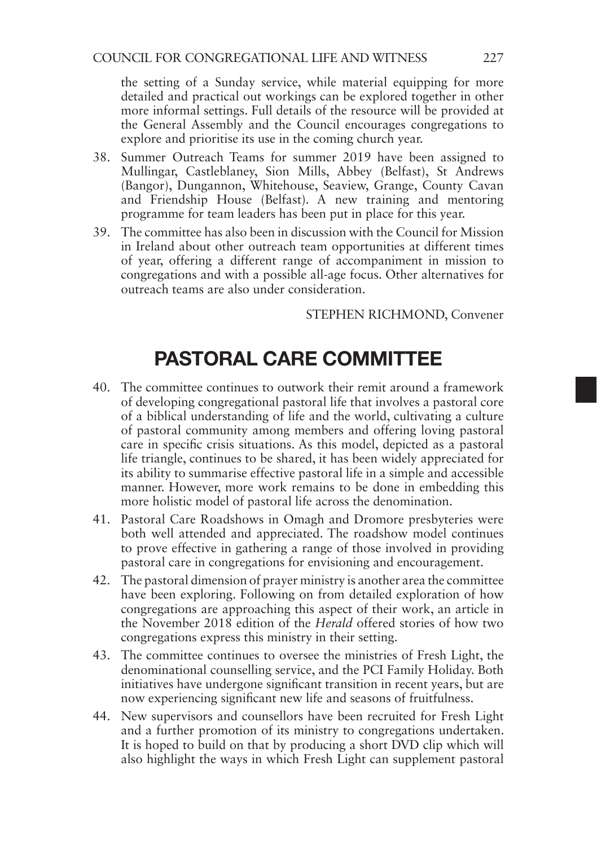the setting of a Sunday service, while material equipping for more detailed and practical out workings can be explored together in other more informal settings. Full details of the resource will be provided at the General Assembly and the Council encourages congregations to explore and prioritise its use in the coming church year.

- 38. Summer Outreach Teams for summer 2019 have been assigned to Mullingar, Castleblaney, Sion Mills, Abbey (Belfast), St Andrews (Bangor), Dungannon, Whitehouse, Seaview, Grange, County Cavan and Friendship House (Belfast). A new training and mentoring programme for team leaders has been put in place for this year.
- 39. The committee has also been in discussion with the Council for Mission in Ireland about other outreach team opportunities at different times of year, offering a different range of accompaniment in mission to congregations and with a possible all-age focus. Other alternatives for outreach teams are also under consideration.

STEPHEN RICHMOND, Convener

## PASTORAL CARE COMMITTEE

- 40. The committee continues to outwork their remit around a framework of developing congregational pastoral life that involves a pastoral core of a biblical understanding of life and the world, cultivating a culture of pastoral community among members and offering loving pastoral care in specific crisis situations. As this model, depicted as a pastoral life triangle, continues to be shared, it has been widely appreciated for its ability to summarise effective pastoral life in a simple and accessible manner. However, more work remains to be done in embedding this more holistic model of pastoral life across the denomination.
- 41. Pastoral Care Roadshows in Omagh and Dromore presbyteries were both well attended and appreciated. The roadshow model continues to prove effective in gathering a range of those involved in providing pastoral care in congregations for envisioning and encouragement.
- 42. The pastoral dimension of prayer ministry is another area the committee have been exploring. Following on from detailed exploration of how congregations are approaching this aspect of their work, an article in the November 2018 edition of the *Herald* offered stories of how two congregations express this ministry in their setting.
- 43. The committee continues to oversee the ministries of Fresh Light, the denominational counselling service, and the PCI Family Holiday. Both initiatives have undergone significant transition in recent years, but are now experiencing significant new life and seasons of fruitfulness.
- 44. New supervisors and counsellors have been recruited for Fresh Light and a further promotion of its ministry to congregations undertaken. It is hoped to build on that by producing a short DVD clip which will also highlight the ways in which Fresh Light can supplement pastoral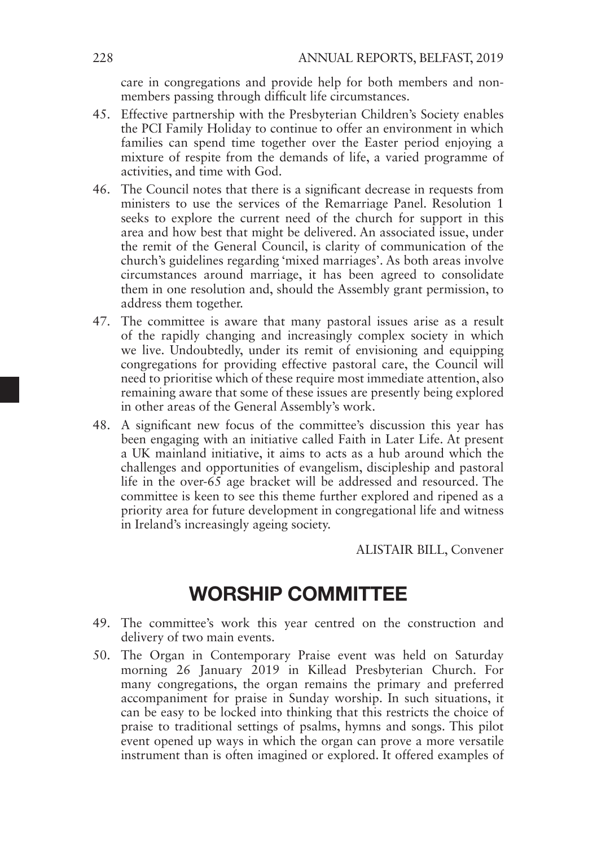care in congregations and provide help for both members and nonmembers passing through difficult life circumstances.

- 45. Effective partnership with the Presbyterian Children's Society enables the PCI Family Holiday to continue to offer an environment in which families can spend time together over the Easter period enjoying a mixture of respite from the demands of life, a varied programme of activities, and time with God.
- 46. The Council notes that there is a significant decrease in requests from ministers to use the services of the Remarriage Panel. Resolution 1 seeks to explore the current need of the church for support in this area and how best that might be delivered. An associated issue, under the remit of the General Council, is clarity of communication of the church's guidelines regarding 'mixed marriages'. As both areas involve circumstances around marriage, it has been agreed to consolidate them in one resolution and, should the Assembly grant permission, to address them together.
- 47. The committee is aware that many pastoral issues arise as a result of the rapidly changing and increasingly complex society in which we live. Undoubtedly, under its remit of envisioning and equipping congregations for providing effective pastoral care, the Council will need to prioritise which of these require most immediate attention, also remaining aware that some of these issues are presently being explored in other areas of the General Assembly's work.
- 48. A significant new focus of the committee's discussion this year has been engaging with an initiative called Faith in Later Life. At present a UK mainland initiative, it aims to acts as a hub around which the challenges and opportunities of evangelism, discipleship and pastoral life in the over-65 age bracket will be addressed and resourced. The committee is keen to see this theme further explored and ripened as a priority area for future development in congregational life and witness in Ireland's increasingly ageing society.

ALISTAIR BILL, Convener

### WORSHIP COMMITTEE

- 49. The committee's work this year centred on the construction and delivery of two main events.
- 50. The Organ in Contemporary Praise event was held on Saturday morning 26 January 2019 in Killead Presbyterian Church. For many congregations, the organ remains the primary and preferred accompaniment for praise in Sunday worship. In such situations, it can be easy to be locked into thinking that this restricts the choice of praise to traditional settings of psalms, hymns and songs. This pilot event opened up ways in which the organ can prove a more versatile instrument than is often imagined or explored. It offered examples of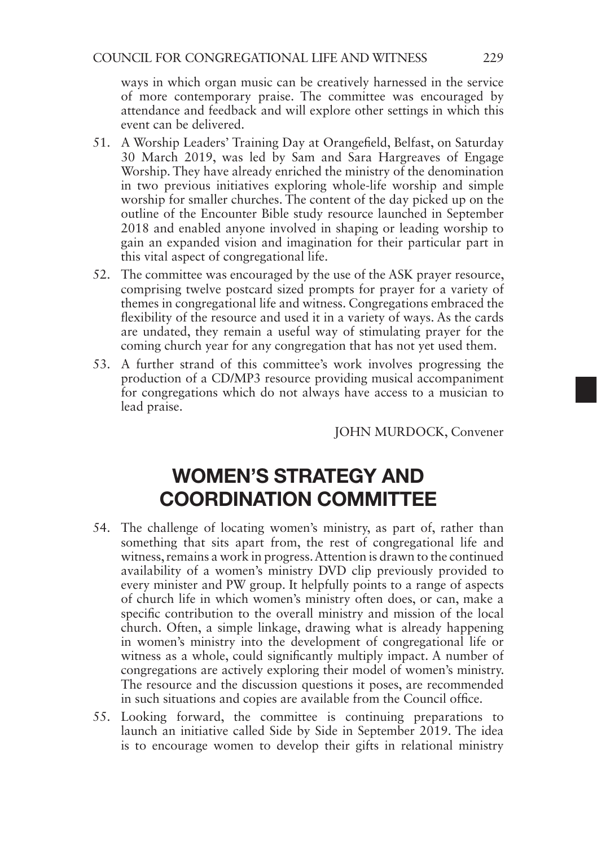ways in which organ music can be creatively harnessed in the service of more contemporary praise. The committee was encouraged by attendance and feedback and will explore other settings in which this event can be delivered.

- 51. A Worship Leaders' Training Day at Orangefield, Belfast, on Saturday 30 March 2019, was led by Sam and Sara Hargreaves of Engage Worship. They have already enriched the ministry of the denomination in two previous initiatives exploring whole-life worship and simple worship for smaller churches. The content of the day picked up on the outline of the Encounter Bible study resource launched in September 2018 and enabled anyone involved in shaping or leading worship to gain an expanded vision and imagination for their particular part in this vital aspect of congregational life.
- 52. The committee was encouraged by the use of the ASK prayer resource, comprising twelve postcard sized prompts for prayer for a variety of themes in congregational life and witness. Congregations embraced the flexibility of the resource and used it in a variety of ways. As the cards are undated, they remain a useful way of stimulating prayer for the coming church year for any congregation that has not yet used them.
- 53. A further strand of this committee's work involves progressing the production of a CD/MP3 resource providing musical accompaniment for congregations which do not always have access to a musician to lead praise.

JOHN MURDOCK, Convener

## WOMEN'S STRATEGY AND COORDINATION COMMITTEE

- 54. The challenge of locating women's ministry, as part of, rather than something that sits apart from, the rest of congregational life and witness, remains a work in progress. Attention is drawn to the continued availability of a women's ministry DVD clip previously provided to every minister and PW group. It helpfully points to a range of aspects of church life in which women's ministry often does, or can, make a specific contribution to the overall ministry and mission of the local church. Often, a simple linkage, drawing what is already happening in women's ministry into the development of congregational life or witness as a whole, could significantly multiply impact. A number of congregations are actively exploring their model of women's ministry. The resource and the discussion questions it poses, are recommended in such situations and copies are available from the Council office.
- 55. Looking forward, the committee is continuing preparations to launch an initiative called Side by Side in September 2019. The idea is to encourage women to develop their gifts in relational ministry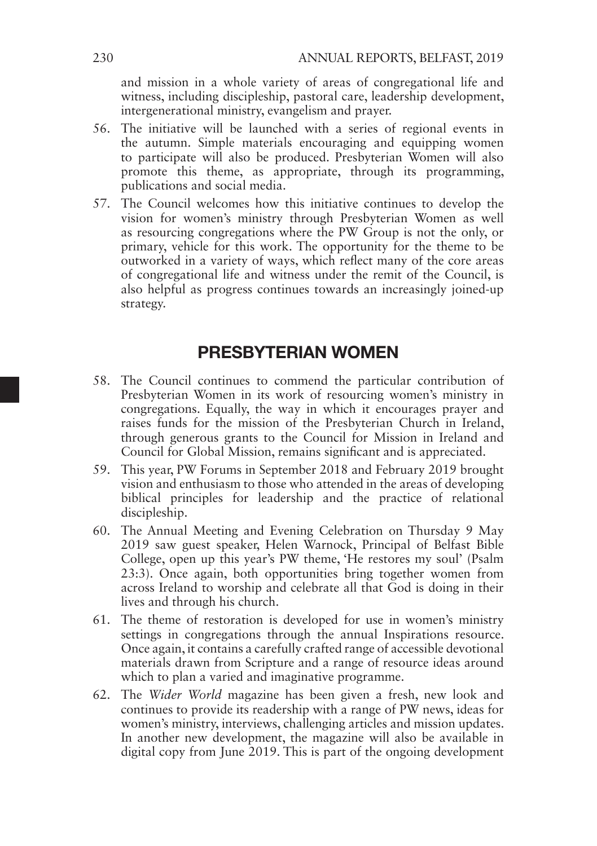and mission in a whole variety of areas of congregational life and witness, including discipleship, pastoral care, leadership development, intergenerational ministry, evangelism and prayer.

- 56. The initiative will be launched with a series of regional events in the autumn. Simple materials encouraging and equipping women to participate will also be produced. Presbyterian Women will also promote this theme, as appropriate, through its programming, publications and social media.
- 57. The Council welcomes how this initiative continues to develop the vision for women's ministry through Presbyterian Women as well as resourcing congregations where the PW Group is not the only, or primary, vehicle for this work. The opportunity for the theme to be outworked in a variety of ways, which reflect many of the core areas of congregational life and witness under the remit of the Council, is also helpful as progress continues towards an increasingly joined-up strategy.

### PRESBYTERIAN WOMEN

- 58. The Council continues to commend the particular contribution of Presbyterian Women in its work of resourcing women's ministry in congregations. Equally, the way in which it encourages prayer and raises funds for the mission of the Presbyterian Church in Ireland, through generous grants to the Council for Mission in Ireland and Council for Global Mission, remains significant and is appreciated.
- 59. This year, PW Forums in September 2018 and February 2019 brought vision and enthusiasm to those who attended in the areas of developing biblical principles for leadership and the practice of relational discipleship.
- 60. The Annual Meeting and Evening Celebration on Thursday 9 May 2019 saw guest speaker, Helen Warnock, Principal of Belfast Bible College, open up this year's PW theme, 'He restores my soul' (Psalm 23:3). Once again, both opportunities bring together women from across Ireland to worship and celebrate all that God is doing in their lives and through his church.
- 61. The theme of restoration is developed for use in women's ministry settings in congregations through the annual Inspirations resource. Once again, it contains a carefully crafted range of accessible devotional materials drawn from Scripture and a range of resource ideas around which to plan a varied and imaginative programme.
- 62. The *Wider World* magazine has been given a fresh, new look and continues to provide its readership with a range of PW news, ideas for women's ministry, interviews, challenging articles and mission updates. In another new development, the magazine will also be available in digital copy from June 2019. This is part of the ongoing development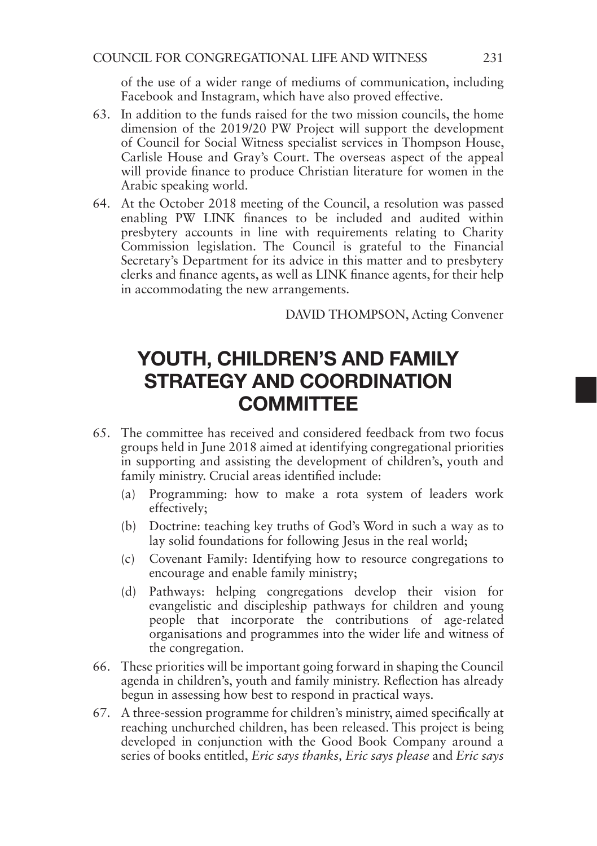of the use of a wider range of mediums of communication, including Facebook and Instagram, which have also proved effective.

- 63. In addition to the funds raised for the two mission councils, the home dimension of the 2019/20 PW Project will support the development of Council for Social Witness specialist services in Thompson House, Carlisle House and Gray's Court. The overseas aspect of the appeal will provide finance to produce Christian literature for women in the Arabic speaking world.
- 64. At the October 2018 meeting of the Council, a resolution was passed enabling PW LINK finances to be included and audited within presbytery accounts in line with requirements relating to Charity Commission legislation. The Council is grateful to the Financial Secretary's Department for its advice in this matter and to presbytery clerks and finance agents, as well as LINK finance agents, for their help in accommodating the new arrangements.

DAVID THOMPSON, Acting Convener

## YOUTH, CHILDREN'S AND FAMILY STRATEGY AND COORDINATION **COMMITTEE**

- 65. The committee has received and considered feedback from two focus groups held in June 2018 aimed at identifying congregational priorities in supporting and assisting the development of children's, youth and family ministry. Crucial areas identified include:
	- (a) Programming: how to make a rota system of leaders work effectively;
	- (b) Doctrine: teaching key truths of God's Word in such a way as to lay solid foundations for following Jesus in the real world:
	- (c) Covenant Family: Identifying how to resource congregations to encourage and enable family ministry;
	- (d) Pathways: helping congregations develop their vision for evangelistic and discipleship pathways for children and young people that incorporate the contributions of age-related organisations and programmes into the wider life and witness of the congregation.
- 66. These priorities will be important going forward in shaping the Council agenda in children's, youth and family ministry. Reflection has already begun in assessing how best to respond in practical ways.
- 67. A three-session programme for children's ministry, aimed specifically at reaching unchurched children, has been released. This project is being developed in conjunction with the Good Book Company around a series of books entitled, *Eric says thanks, Eric says please* and *Eric says*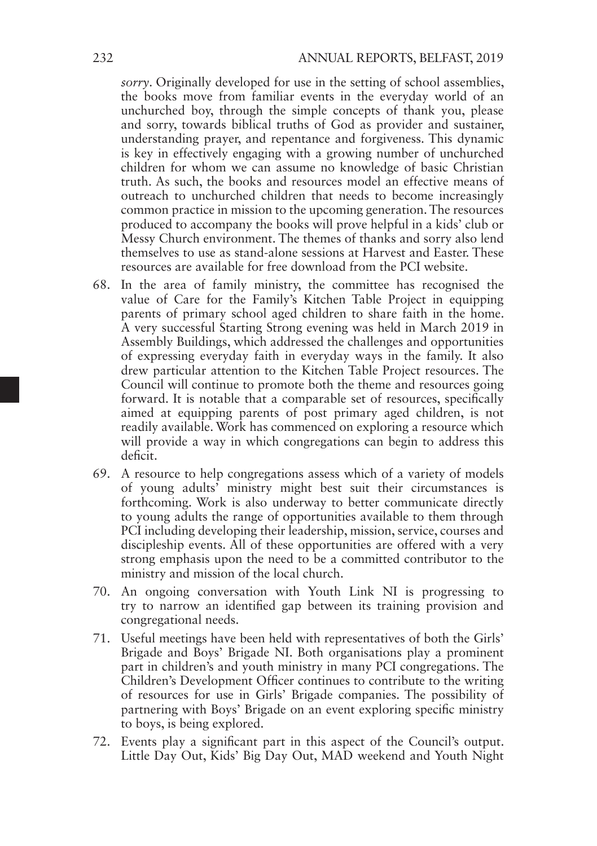*sorry*. Originally developed for use in the setting of school assemblies, the books move from familiar events in the everyday world of an unchurched boy, through the simple concepts of thank you, please and sorry, towards biblical truths of God as provider and sustainer, understanding prayer, and repentance and forgiveness. This dynamic is key in effectively engaging with a growing number of unchurched children for whom we can assume no knowledge of basic Christian truth. As such, the books and resources model an effective means of outreach to unchurched children that needs to become increasingly common practice in mission to the upcoming generation. The resources produced to accompany the books will prove helpful in a kids' club or Messy Church environment. The themes of thanks and sorry also lend themselves to use as stand-alone sessions at Harvest and Easter. These resources are available for free download from the PCI website.

- 68. In the area of family ministry, the committee has recognised the value of Care for the Family's Kitchen Table Project in equipping parents of primary school aged children to share faith in the home. A very successful Starting Strong evening was held in March 2019 in Assembly Buildings, which addressed the challenges and opportunities of expressing everyday faith in everyday ways in the family. It also drew particular attention to the Kitchen Table Project resources. The Council will continue to promote both the theme and resources going forward. It is notable that a comparable set of resources, specifically aimed at equipping parents of post primary aged children, is not readily available. Work has commenced on exploring a resource which will provide a way in which congregations can begin to address this deficit.
- 69. A resource to help congregations assess which of a variety of models of young adults' ministry might best suit their circumstances is forthcoming. Work is also underway to better communicate directly to young adults the range of opportunities available to them through PCI including developing their leadership, mission, service, courses and discipleship events. All of these opportunities are offered with a very strong emphasis upon the need to be a committed contributor to the ministry and mission of the local church.
- 70. An ongoing conversation with Youth Link NI is progressing to try to narrow an identified gap between its training provision and congregational needs.
- 71. Useful meetings have been held with representatives of both the Girls' Brigade and Boys' Brigade NI. Both organisations play a prominent part in children's and youth ministry in many PCI congregations. The Children's Development Officer continues to contribute to the writing of resources for use in Girls' Brigade companies. The possibility of partnering with Boys' Brigade on an event exploring specific ministry to boys, is being explored.
- 72. Events play a significant part in this aspect of the Council's output. Little Day Out, Kids' Big Day Out, MAD weekend and Youth Night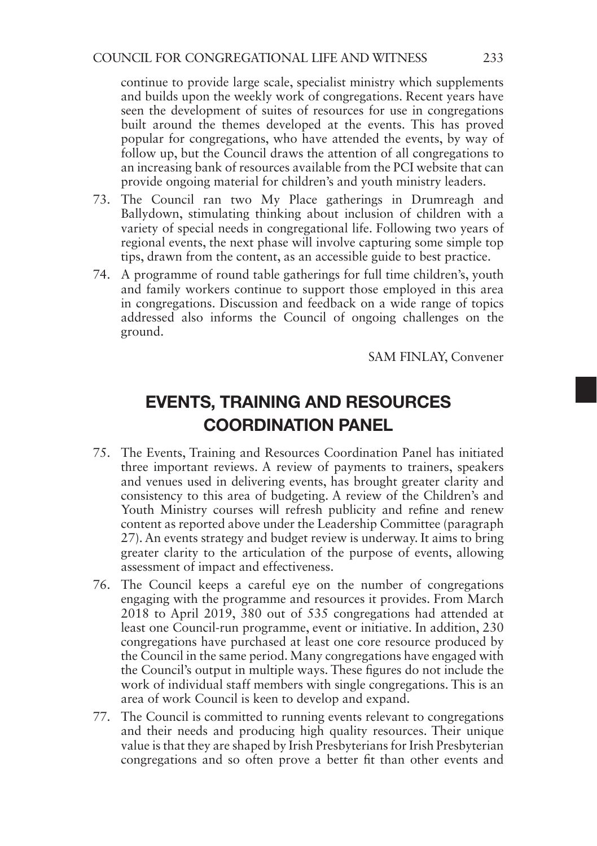continue to provide large scale, specialist ministry which supplements and builds upon the weekly work of congregations. Recent years have seen the development of suites of resources for use in congregations built around the themes developed at the events. This has proved popular for congregations, who have attended the events, by way of follow up, but the Council draws the attention of all congregations to an increasing bank of resources available from the PCI website that can provide ongoing material for children's and youth ministry leaders.

- 73. The Council ran two My Place gatherings in Drumreagh and Ballydown, stimulating thinking about inclusion of children with a variety of special needs in congregational life. Following two years of regional events, the next phase will involve capturing some simple top tips, drawn from the content, as an accessible guide to best practice.
- 74. A programme of round table gatherings for full time children's, youth and family workers continue to support those employed in this area in congregations. Discussion and feedback on a wide range of topics addressed also informs the Council of ongoing challenges on the ground.

SAM FINLAY, Convener

### EVENTS, TRAINING AND RESOURCES COORDINATION PANEL

- 75. The Events, Training and Resources Coordination Panel has initiated three important reviews. A review of payments to trainers, speakers and venues used in delivering events, has brought greater clarity and consistency to this area of budgeting. A review of the Children's and Youth Ministry courses will refresh publicity and refine and renew content as reported above under the Leadership Committee (paragraph 27). An events strategy and budget review is underway. It aims to bring greater clarity to the articulation of the purpose of events, allowing assessment of impact and effectiveness.
- 76. The Council keeps a careful eye on the number of congregations engaging with the programme and resources it provides. From March 2018 to April 2019, 380 out of 535 congregations had attended at least one Council-run programme, event or initiative. In addition, 230 congregations have purchased at least one core resource produced by the Council in the same period. Many congregations have engaged with the Council's output in multiple ways. These figures do not include the work of individual staff members with single congregations. This is an area of work Council is keen to develop and expand.
- 77. The Council is committed to running events relevant to congregations and their needs and producing high quality resources. Their unique value is that they are shaped by Irish Presbyterians for Irish Presbyterian congregations and so often prove a better fit than other events and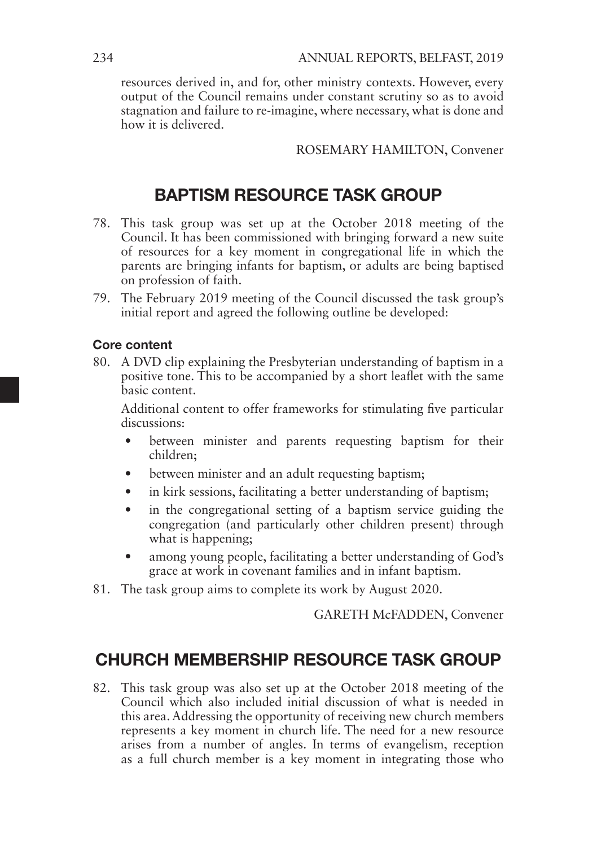resources derived in, and for, other ministry contexts. However, every output of the Council remains under constant scrutiny so as to avoid stagnation and failure to re-imagine, where necessary, what is done and how it is delivered.

#### ROSEMARY HAMILTON, Convener

### BAPTISM RESOURCE TASK GROUP

- 78. This task group was set up at the October 2018 meeting of the Council. It has been commissioned with bringing forward a new suite of resources for a key moment in congregational life in which the parents are bringing infants for baptism, or adults are being baptised on profession of faith.
- 79. The February 2019 meeting of the Council discussed the task group's initial report and agreed the following outline be developed:

#### Core content

80. A DVD clip explaining the Presbyterian understanding of baptism in a positive tone. This to be accompanied by a short leaflet with the same basic content.

Additional content to offer frameworks for stimulating five particular discussions:

- between minister and parents requesting baptism for their children;
- between minister and an adult requesting baptism;
- in kirk sessions, facilitating a better understanding of baptism;
- in the congregational setting of a baptism service guiding the congregation (and particularly other children present) through what is happening;
- among young people, facilitating a better understanding of God's grace at work in covenant families and in infant baptism.
- 81. The task group aims to complete its work by August 2020.

GARETH McFADDEN, Convener

### CHURCH MEMBERSHIP RESOURCE TASK GROUP

82. This task group was also set up at the October 2018 meeting of the Council which also included initial discussion of what is needed in this area. Addressing the opportunity of receiving new church members represents a key moment in church life. The need for a new resource arises from a number of angles. In terms of evangelism, reception as a full church member is a key moment in integrating those who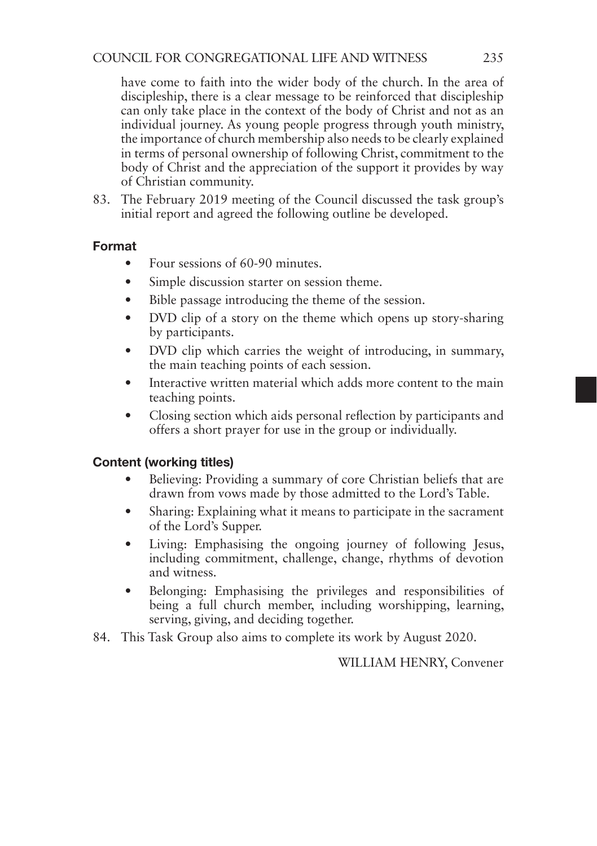have come to faith into the wider body of the church. In the area of discipleship, there is a clear message to be reinforced that discipleship can only take place in the context of the body of Christ and not as an individual journey. As young people progress through youth ministry, the importance of church membership also needs to be clearly explained in terms of personal ownership of following Christ, commitment to the body of Christ and the appreciation of the support it provides by way of Christian community.

83. The February 2019 meeting of the Council discussed the task group's initial report and agreed the following outline be developed.

#### Format

- Four sessions of 60-90 minutes.
- Simple discussion starter on session theme.
- Bible passage introducing the theme of the session.
- DVD clip of a story on the theme which opens up story-sharing by participants.
- DVD clip which carries the weight of introducing, in summary, the main teaching points of each session.
- Interactive written material which adds more content to the main teaching points.
- Closing section which aids personal reflection by participants and offers a short prayer for use in the group or individually.

#### Content (working titles)

- Believing: Providing a summary of core Christian beliefs that are drawn from vows made by those admitted to the Lord's Table.
- Sharing: Explaining what it means to participate in the sacrament of the Lord's Supper.
- Living: Emphasising the ongoing journey of following Jesus, including commitment, challenge, change, rhythms of devotion and witness.
- Belonging: Emphasising the privileges and responsibilities of being a full church member, including worshipping, learning, serving, giving, and deciding together.
- 84. This Task Group also aims to complete its work by August 2020.

WILLIAM HENRY, Convener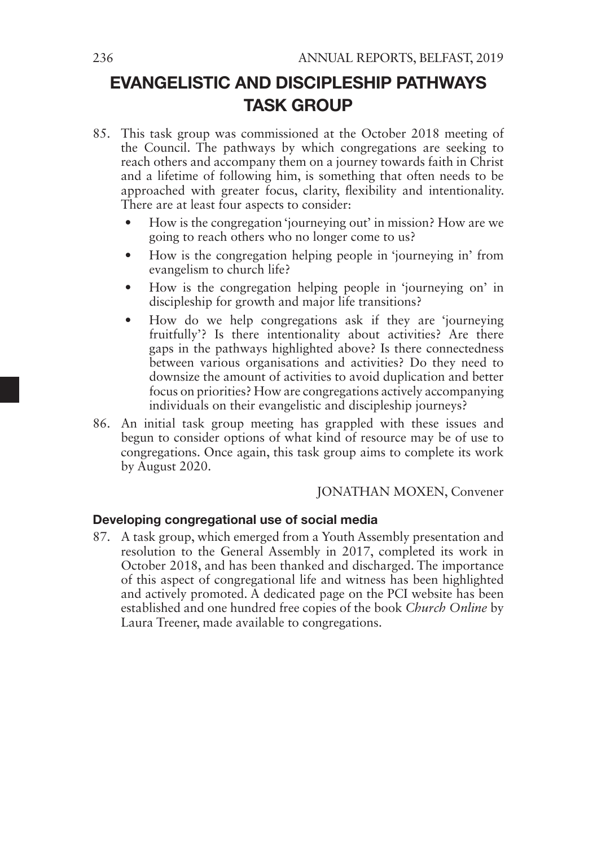### EVANGELISTIC AND DISCIPLESHIP PATHWAYS TASK GROUP

- 85. This task group was commissioned at the October 2018 meeting of the Council. The pathways by which congregations are seeking to reach others and accompany them on a journey towards faith in Christ and a lifetime of following him, is something that often needs to be approached with greater focus, clarity, flexibility and intentionality. There are at least four aspects to consider:
	- How is the congregation 'journeying out' in mission? How are we going to reach others who no longer come to us?
	- How is the congregation helping people in 'journeying in' from evangelism to church life?
	- How is the congregation helping people in 'journeying on' in discipleship for growth and major life transitions?
	- How do we help congregations ask if they are 'journeying fruitfully'? Is there intentionality about activities? Are there gaps in the pathways highlighted above? Is there connectedness between various organisations and activities? Do they need to downsize the amount of activities to avoid duplication and better focus on priorities? How are congregations actively accompanying individuals on their evangelistic and discipleship journeys?
- 86. An initial task group meeting has grappled with these issues and begun to consider options of what kind of resource may be of use to congregations. Once again, this task group aims to complete its work by August 2020.

#### JONATHAN MOXEN, Convener

#### Developing congregational use of social media

87. A task group, which emerged from a Youth Assembly presentation and resolution to the General Assembly in 2017, completed its work in October 2018, and has been thanked and discharged. The importance of this aspect of congregational life and witness has been highlighted and actively promoted. A dedicated page on the PCI website has been established and one hundred free copies of the book *Church Online* by Laura Treener, made available to congregations.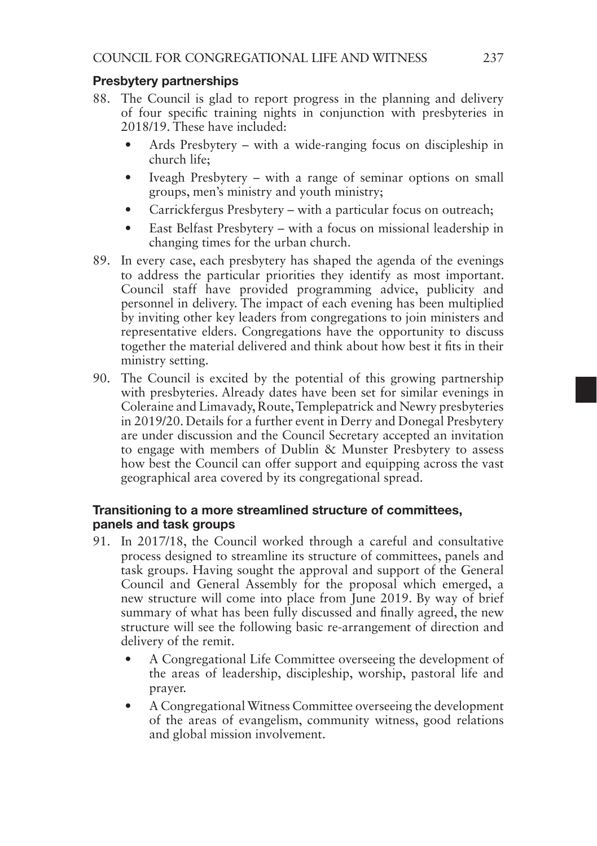#### Presbytery partnerships

- 88. The Council is glad to report progress in the planning and delivery of four specific training nights in conjunction with presbyteries in 2018/19. These have included:
	- Ards Presbytery with a wide-ranging focus on discipleship in church life;
	- Iveagh Presbytery with a range of seminar options on small groups, men's ministry and youth ministry;
	- Carrickfergus Presbytery with a particular focus on outreach;
	- East Belfast Presbytery with a focus on missional leadership in changing times for the urban church.
- 89. In every case, each presbytery has shaped the agenda of the evenings to address the particular priorities they identify as most important. Council staff have provided programming advice, publicity and personnel in delivery. The impact of each evening has been multiplied by inviting other key leaders from congregations to join ministers and representative elders. Congregations have the opportunity to discuss together the material delivered and think about how best it fits in their ministry setting.
- 90. The Council is excited by the potential of this growing partnership with presbyteries. Already dates have been set for similar evenings in Coleraine and Limavady, Route, Templepatrick and Newry presbyteries in 2019/20. Details for a further event in Derry and Donegal Presbytery are under discussion and the Council Secretary accepted an invitation to engage with members of Dublin & Munster Presbytery to assess how best the Council can offer support and equipping across the vast geographical area covered by its congregational spread.

#### Transitioning to a more streamlined structure of committees, panels and task groups

- 91. In 2017/18, the Council worked through a careful and consultative process designed to streamline its structure of committees, panels and task groups. Having sought the approval and support of the General Council and General Assembly for the proposal which emerged, a new structure will come into place from June 2019. By way of brief summary of what has been fully discussed and finally agreed, the new structure will see the following basic re-arrangement of direction and delivery of the remit.
	- A Congregational Life Committee overseeing the development of the areas of leadership, discipleship, worship, pastoral life and prayer.
	- A Congregational Witness Committee overseeing the development of the areas of evangelism, community witness, good relations and global mission involvement.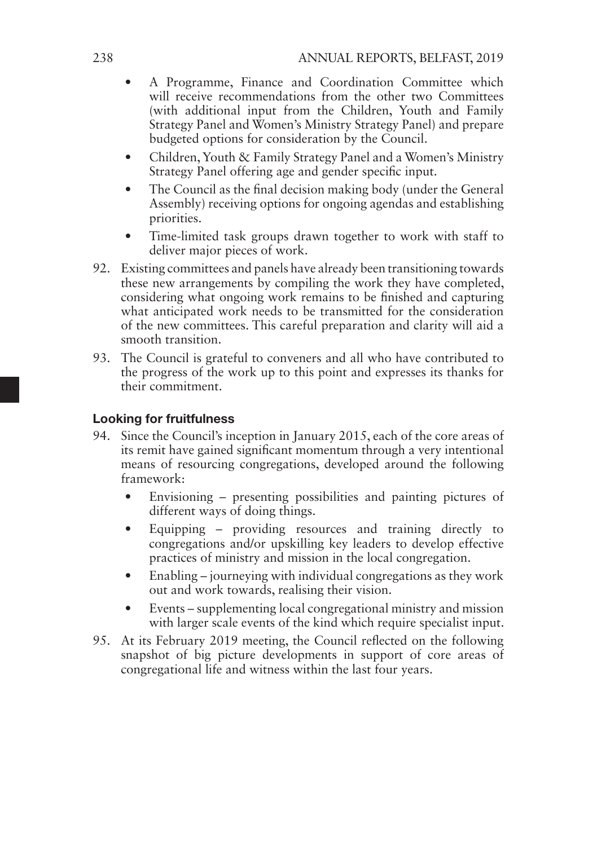- A Programme, Finance and Coordination Committee which will receive recommendations from the other two Committees (with additional input from the Children, Youth and Family Strategy Panel and Women's Ministry Strategy Panel) and prepare budgeted options for consideration by the Council.
- Children, Youth & Family Strategy Panel and a Women's Ministry Strategy Panel offering age and gender specific input.
- The Council as the final decision making body (under the General Assembly) receiving options for ongoing agendas and establishing priorities.
- Time-limited task groups drawn together to work with staff to deliver major pieces of work.
- 92. Existing committees and panels have already been transitioning towards these new arrangements by compiling the work they have completed, considering what ongoing work remains to be finished and capturing what anticipated work needs to be transmitted for the consideration of the new committees. This careful preparation and clarity will aid a smooth transition.
- 93. The Council is grateful to conveners and all who have contributed to the progress of the work up to this point and expresses its thanks for their commitment.

### Looking for fruitfulness

- 94. Since the Council's inception in January 2015, each of the core areas of its remit have gained significant momentum through a very intentional means of resourcing congregations, developed around the following framework:
	- Envisioning presenting possibilities and painting pictures of different ways of doing things.
	- Equipping providing resources and training directly to congregations and/or upskilling key leaders to develop effective practices of ministry and mission in the local congregation.
	- Enabling journeying with individual congregations as they work out and work towards, realising their vision.
	- Events supplementing local congregational ministry and mission with larger scale events of the kind which require specialist input.
- 95. At its February 2019 meeting, the Council reflected on the following snapshot of big picture developments in support of core areas of congregational life and witness within the last four years.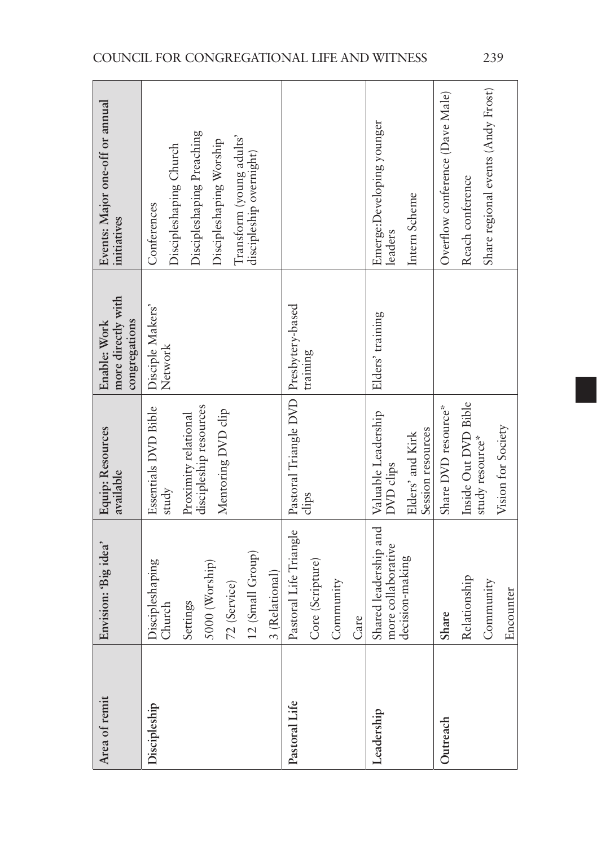| Area of remit | Envision: 'Big idea'                                                                                          | <b>Equip: Resources</b><br>available                                                                  | more directly with<br>congregations<br>Enable: Work | Events: Major one-off or annual<br>initiatives                                                                                                       |
|---------------|---------------------------------------------------------------------------------------------------------------|-------------------------------------------------------------------------------------------------------|-----------------------------------------------------|------------------------------------------------------------------------------------------------------------------------------------------------------|
| Discipleship  | 12 (Small Group)<br>Discipleshaping<br>5000 (Worship)<br>3 (Relational)<br>72 (Service)<br>Settings<br>Church | discipleship resources<br>Essentials DVD Bible<br>Mentoring DVD clip<br>Proximity relational<br>study | Disciple Makers'<br>Network                         | Discipleshaping Preaching<br>Transform (young adults'<br>Discipleshaping Worship<br>Discipleshaping Church<br>discipleship overnight)<br>Conferences |
| Pastoral Life | Pastoral Life Triangle<br>Core (Scripture)<br>Community<br>Care                                               | Pastoral Triangle DVD<br>clips                                                                        | Presbytery-based<br>training                        |                                                                                                                                                      |
| Leadership    | Shared leadership and<br>more collaborative<br>decision-making                                                | Valuable Leadership<br>Session resources<br>Elders' and Kirk<br><b>DVD</b> clips                      | Elders' training                                    | Emerge:Developing younger<br>Intern Scheme<br>eaders                                                                                                 |
| Outreach      | Relationship<br>Community<br>Encounter<br>Share                                                               | Inside Out DVD Bible<br>Share DVD resource*<br>Vision for Society<br>study resource*                  |                                                     | Share regional events (Andy Frost)<br>Overflow conference (Dave Male)<br>Reach conference                                                            |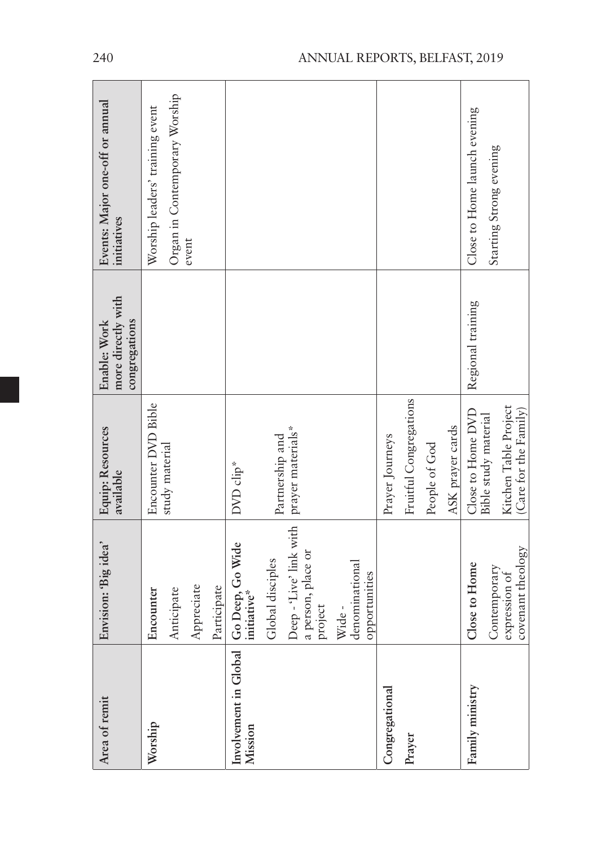| Area of remit                                                     | Envision: 'Big idea'                                                                                                     | <b>Equip: Resources</b><br>available                                                        | more directly with<br>congregations<br>Enable: Work | Events: Major one-off or annual<br>initiatives                            |
|-------------------------------------------------------------------|--------------------------------------------------------------------------------------------------------------------------|---------------------------------------------------------------------------------------------|-----------------------------------------------------|---------------------------------------------------------------------------|
| Worship                                                           | Appreciate<br>Participate<br>Anticipate<br>Encounter                                                                     | Encounter DVD Bible<br>study material                                                       |                                                     | Organ in Contemporary Worship<br>Worship leaders' training event<br>event |
| Involvement in Global   Go Deep, Go Wide<br>Mission   initiative* | Deep - 'Live' link with<br>a person, place or<br>Global disciples<br>denominational<br>opportunities<br>project<br>Wide- | prayer materials*<br>Partnership and<br>DVD clip*                                           |                                                     |                                                                           |
| Congregational<br>Prayer                                          |                                                                                                                          | Fruitful Congregations<br>ASK prayer cards<br>Prayer Journeys<br>People of God              |                                                     |                                                                           |
| Family ministry                                                   | covenant theology<br>Close to Home<br>Contemporary<br>expression of                                                      | Kitchen Table Project<br>Close to Home DVD<br>(Care for the Family)<br>Bible study material | Regional training                                   | Close to Home launch evening<br>Starting Strong evening                   |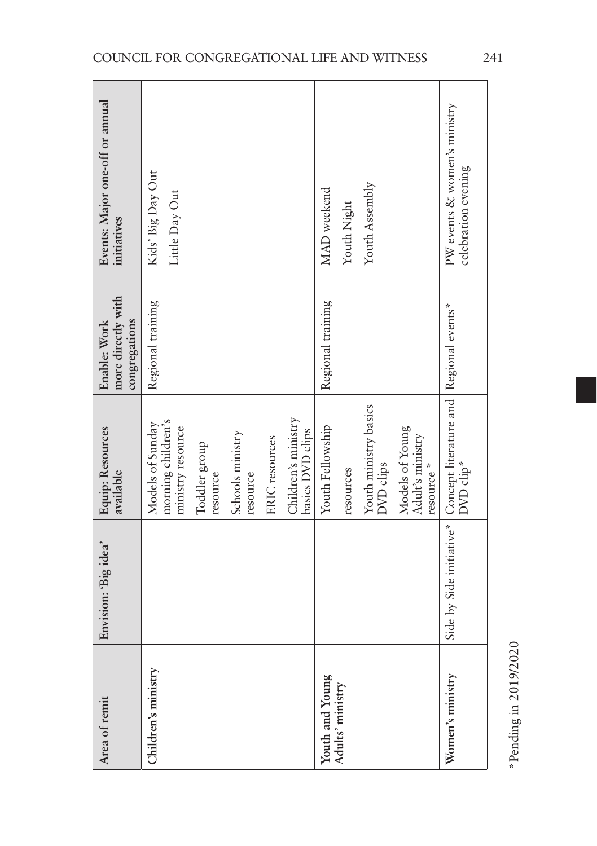| Area of remit                       | Envision: 'Big idea' | <b>Equip: Resources</b><br>available                                                                                                                                                  | more directly with<br>congregations<br>Enable: Work | Events: Major one-off or annual<br>initiatives      |
|-------------------------------------|----------------------|---------------------------------------------------------------------------------------------------------------------------------------------------------------------------------------|-----------------------------------------------------|-----------------------------------------------------|
| Children's ministry                 |                      | Children's ministry<br>morning children's<br>Models of Sunday<br>ministry resource<br>basics DVD clips<br>Schools ministry<br>ERIC resources<br>Toddler group<br>resource<br>resource | Regional training                                   | Kids' Big Day Out<br>Little Day Out                 |
| Youth and Young<br>Adults' ministry |                      | Youth ministry basics<br>Youth Fellowship<br>Models of Young<br>Adult's ministry<br>DVD clips<br>resource *<br>resources                                                              | Regional training                                   | Youth Assembly<br>MAD weekend<br>Youth Night        |
| Women's ministry                    |                      | Side by Side initiative* Concept literature and   Regional events*<br>DVD clip*                                                                                                       |                                                     | PW events & women's ministry<br>celebration evening |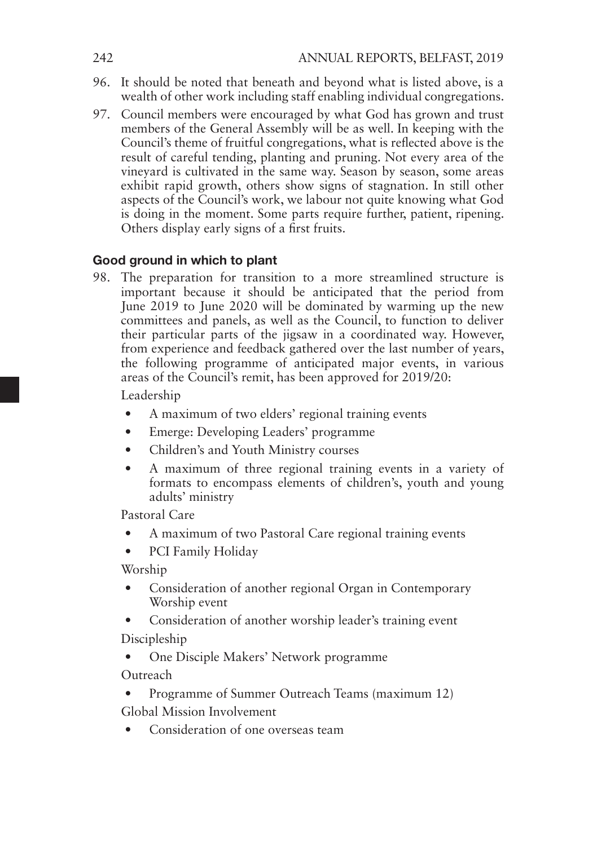- 96. It should be noted that beneath and beyond what is listed above, is a wealth of other work including staff enabling individual congregations.
- 97. Council members were encouraged by what God has grown and trust members of the General Assembly will be as well. In keeping with the Council's theme of fruitful congregations, what is reflected above is the result of careful tending, planting and pruning. Not every area of the vineyard is cultivated in the same way. Season by season, some areas exhibit rapid growth, others show signs of stagnation. In still other aspects of the Council's work, we labour not quite knowing what God is doing in the moment. Some parts require further, patient, ripening. Others display early signs of a first fruits.

#### Good ground in which to plant

98. The preparation for transition to a more streamlined structure is important because it should be anticipated that the period from June 2019 to June 2020 will be dominated by warming up the new committees and panels, as well as the Council, to function to deliver their particular parts of the jigsaw in a coordinated way. However, from experience and feedback gathered over the last number of years, the following programme of anticipated major events, in various areas of the Council's remit, has been approved for 2019/20:

Leadership

- A maximum of two elders' regional training events
- Emerge: Developing Leaders' programme
- Children's and Youth Ministry courses
- A maximum of three regional training events in a variety of formats to encompass elements of children's, youth and young adults' ministry

Pastoral Care

- A maximum of two Pastoral Care regional training events
- PCI Family Holiday

Worship

- Consideration of another regional Organ in Contemporary Worship event
- Consideration of another worship leader's training event Discipleship
- One Disciple Makers' Network programme

**Outreach** 

- Programme of Summer Outreach Teams (maximum 12) Global Mission Involvement
- Consideration of one overseas team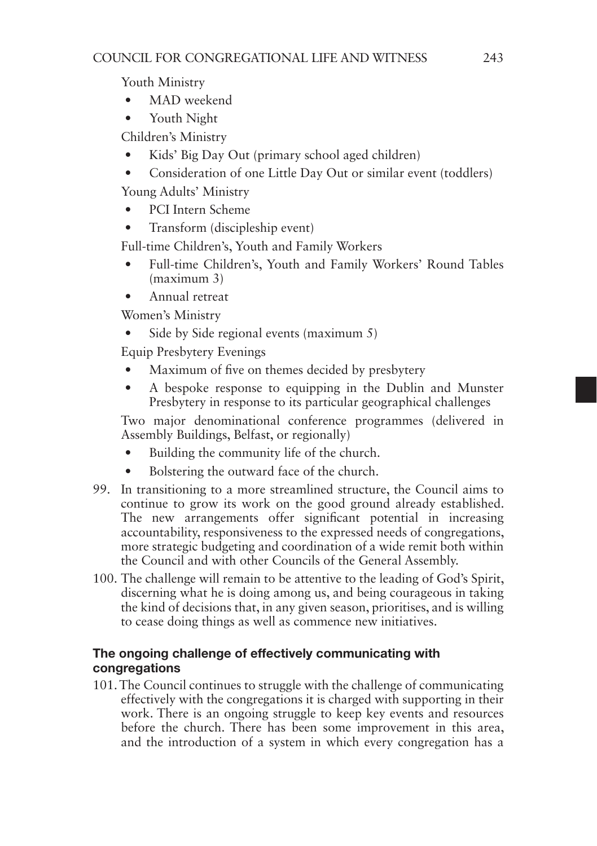Youth Ministry

- MAD weekend
- Youth Night

Children's Ministry

- Kids' Big Day Out (primary school aged children)
- Consideration of one Little Day Out or similar event (toddlers)

Young Adults' Ministry

- PCI Intern Scheme
- Transform (discipleship event)

Full-time Children's, Youth and Family Workers

- Full-time Children's, Youth and Family Workers' Round Tables (maximum 3)
- Annual retreat

Women's Ministry

Side by Side regional events (maximum 5)

Equip Presbytery Evenings

- Maximum of five on themes decided by presbytery
- A bespoke response to equipping in the Dublin and Munster Presbytery in response to its particular geographical challenges

Two major denominational conference programmes (delivered in Assembly Buildings, Belfast, or regionally)

- Building the community life of the church.
- Bolstering the outward face of the church.
- 99. In transitioning to a more streamlined structure, the Council aims to continue to grow its work on the good ground already established. The new arrangements offer significant potential in increasing accountability, responsiveness to the expressed needs of congregations, more strategic budgeting and coordination of a wide remit both within the Council and with other Councils of the General Assembly.
- 100. The challenge will remain to be attentive to the leading of God's Spirit, discerning what he is doing among us, and being courageous in taking the kind of decisions that, in any given season, prioritises, and is willing to cease doing things as well as commence new initiatives.

#### The ongoing challenge of effectively communicating with congregations

101. The Council continues to struggle with the challenge of communicating effectively with the congregations it is charged with supporting in their work. There is an ongoing struggle to keep key events and resources before the church. There has been some improvement in this area, and the introduction of a system in which every congregation has a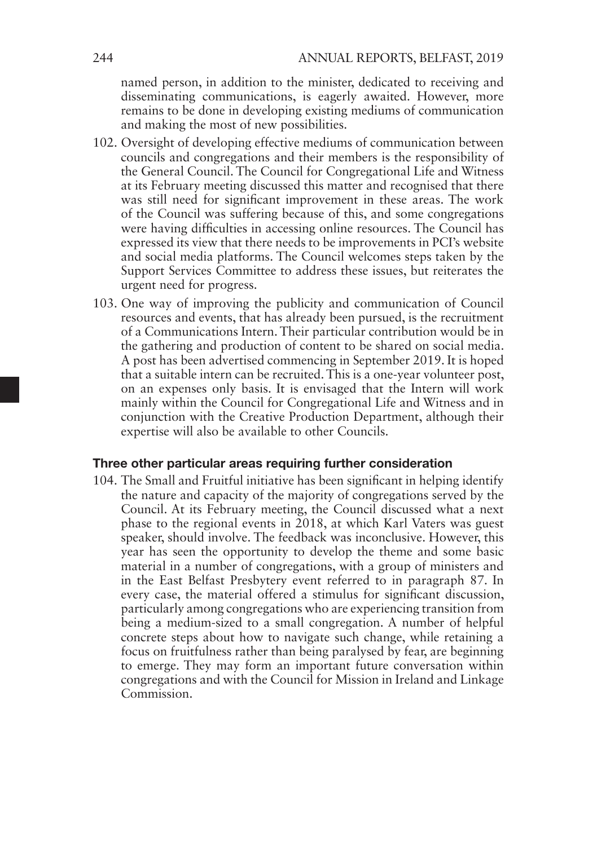named person, in addition to the minister, dedicated to receiving and disseminating communications, is eagerly awaited. However, more remains to be done in developing existing mediums of communication and making the most of new possibilities.

- 102. Oversight of developing effective mediums of communication between councils and congregations and their members is the responsibility of the General Council. The Council for Congregational Life and Witness at its February meeting discussed this matter and recognised that there was still need for significant improvement in these areas. The work of the Council was suffering because of this, and some congregations were having difficulties in accessing online resources. The Council has expressed its view that there needs to be improvements in PCI's website and social media platforms. The Council welcomes steps taken by the Support Services Committee to address these issues, but reiterates the urgent need for progress.
- 103. One way of improving the publicity and communication of Council resources and events, that has already been pursued, is the recruitment of a Communications Intern. Their particular contribution would be in the gathering and production of content to be shared on social media. A post has been advertised commencing in September 2019. It is hoped that a suitable intern can be recruited. This is a one-year volunteer post, on an expenses only basis. It is envisaged that the Intern will work mainly within the Council for Congregational Life and Witness and in conjunction with the Creative Production Department, although their expertise will also be available to other Councils.

#### Three other particular areas requiring further consideration

104. The Small and Fruitful initiative has been significant in helping identify the nature and capacity of the majority of congregations served by the Council. At its February meeting, the Council discussed what a next phase to the regional events in 2018, at which Karl Vaters was guest speaker, should involve. The feedback was inconclusive. However, this year has seen the opportunity to develop the theme and some basic material in a number of congregations, with a group of ministers and in the East Belfast Presbytery event referred to in paragraph 87. In every case, the material offered a stimulus for significant discussion, particularly among congregations who are experiencing transition from being a medium-sized to a small congregation. A number of helpful concrete steps about how to navigate such change, while retaining a focus on fruitfulness rather than being paralysed by fear, are beginning to emerge. They may form an important future conversation within congregations and with the Council for Mission in Ireland and Linkage Commission.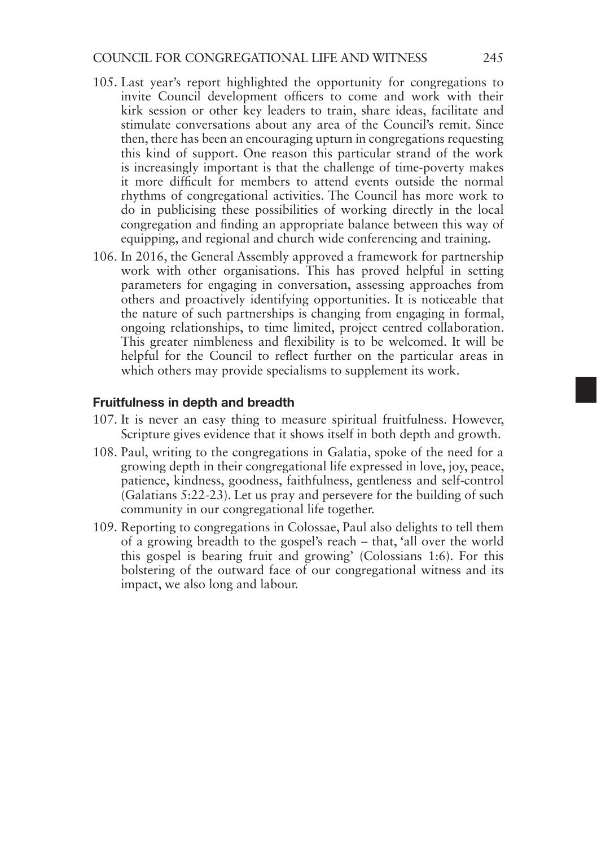- 105. Last year's report highlighted the opportunity for congregations to invite Council development officers to come and work with their kirk session or other key leaders to train, share ideas, facilitate and stimulate conversations about any area of the Council's remit. Since then, there has been an encouraging upturn in congregations requesting this kind of support. One reason this particular strand of the work is increasingly important is that the challenge of time-poverty makes it more difficult for members to attend events outside the normal rhythms of congregational activities. The Council has more work to do in publicising these possibilities of working directly in the local congregation and finding an appropriate balance between this way of equipping, and regional and church wide conferencing and training.
- 106. In 2016, the General Assembly approved a framework for partnership work with other organisations. This has proved helpful in setting parameters for engaging in conversation, assessing approaches from others and proactively identifying opportunities. It is noticeable that the nature of such partnerships is changing from engaging in formal, ongoing relationships, to time limited, project centred collaboration. This greater nimbleness and flexibility is to be welcomed. It will be helpful for the Council to reflect further on the particular areas in which others may provide specialisms to supplement its work.

#### Fruitfulness in depth and breadth

- 107. It is never an easy thing to measure spiritual fruitfulness. However, Scripture gives evidence that it shows itself in both depth and growth.
- 108. Paul, writing to the congregations in Galatia, spoke of the need for a growing depth in their congregational life expressed in love, joy, peace, patience, kindness, goodness, faithfulness, gentleness and self-control (Galatians 5:22-23). Let us pray and persevere for the building of such community in our congregational life together.
- 109. Reporting to congregations in Colossae, Paul also delights to tell them of a growing breadth to the gospel's reach – that, 'all over the world this gospel is bearing fruit and growing' (Colossians 1:6). For this bolstering of the outward face of our congregational witness and its impact, we also long and labour.